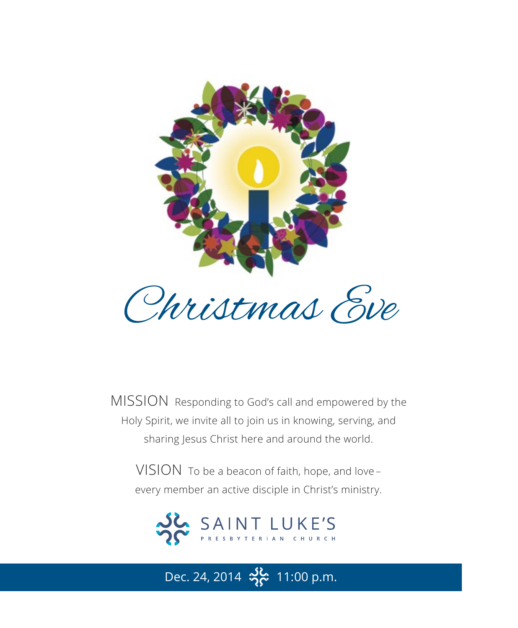

MISSION Responding to God's call and empowered by the Holy Spirit, we invite all to join us in knowing, serving, and sharing Jesus Christ here and around the world.

VISION To be a beacon of faith, hope, and love – every member an active disciple in Christ's ministry.



Dec. 24, 2014  $\frac{36}{25}$  11:00 p.m.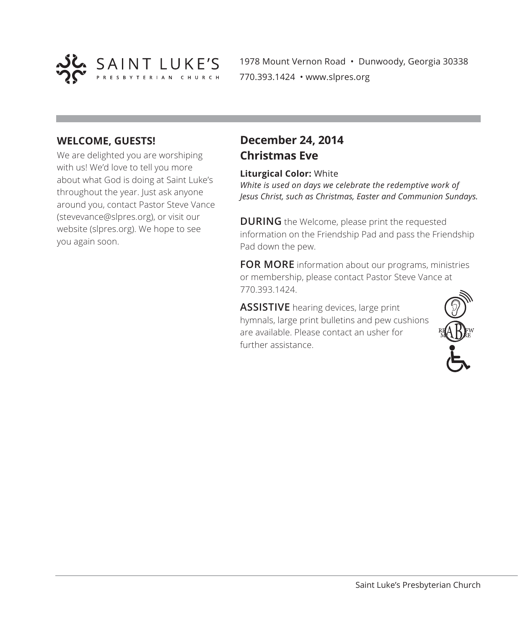

1978 Mount Vernon Road • Dunwoody, Georgia 30338 770.393.1424 • www.slpres.org

#### **WELCOME, GUESTS!**

We are delighted you are worshiping with us! We'd love to tell you more about what God is doing at Saint Luke's throughout the year. Just ask anyone around you, contact Pastor Steve Vance (stevevance@slpres.org), or visit our website (slpres.org). We hope to see you again soon.

## **December 24, 2014 Christmas Eve**

#### **Liturgical Color:** White

*White is used on days we celebrate the redemptive work of Jesus Christ, such as Christmas, Easter and Communion Sundays.* 

**DURING** the Welcome, please print the requested information on the Friendship Pad and pass the Friendship Pad down the pew.

**FOR MORE** information about our programs, ministries or membership, please contact Pastor Steve Vance at 770.393.1424.

**ASSISTIVE** hearing devices, large print hymnals, large print bulletins and pew cushions are available. Please contact an usher for further assistance.

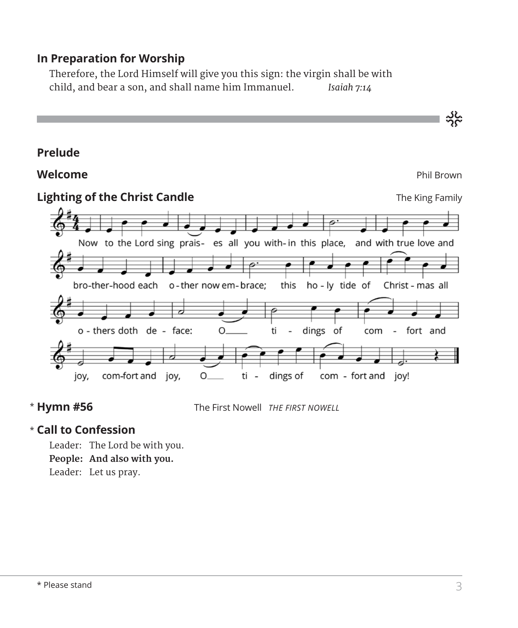### **In Preparation for Worship**

 Therefore, the Lord Himself will give you this sign: the virgin shall be with child, and bear a son, and shall name him Immanuel. *Isaiah 7:14*



\* Hymn #56

**Hymn #56** The First Nowell *THE FIRST NOWELL*

### **Call to Confession**  \*

Leader: The Lord be with you. **People: And also with you.** Leader: Let us pray.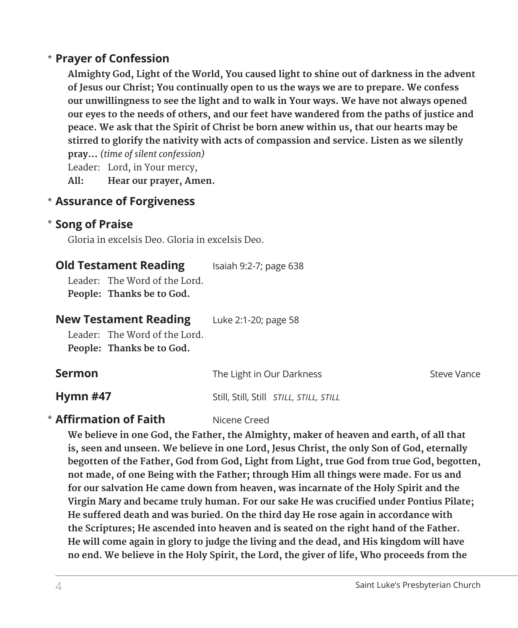### **Prayer of Confession** \*

 **Almighty God, Light of the World, You caused light to shine out of darkness in the advent of Jesus our Christ; You continually open to us the ways we are to prepare. We confess our unwillingness to see the light and to walk in Your ways. We have not always opened our eyes to the needs of others, and our feet have wandered from the paths of justice and peace. We ask that the Spirit of Christ be born anew within us, that our hearts may be stirred to glorify the nativity with acts of compassion and service. Listen as we silently pray...** *(time of silent confession)*

Leader: Lord, in Your mercy,

**All: Hear our prayer, Amen.**

### **Assurance of Forgiveness** \*

### **Song of Praise**  \*

Gloria in excelsis Deo. Gloria in excelsis Deo.

| <b>Old Testament Reading</b>                                                               | Isaiah 9:2-7; page 638    |             |
|--------------------------------------------------------------------------------------------|---------------------------|-------------|
| Leader: The Word of the Lord.<br>People: Thanks be to God.                                 |                           |             |
| <b>New Testament Reading</b><br>Leader: The Word of the Lord.<br>People: Thanks be to God. | Luke 2:1-20; page 58      |             |
| <b>Sermon</b>                                                                              | The Light in Our Darkness | Steve Vance |

**Hymn #47** Still, Still, Still *STILL, STILL, STILL*

# **\* Affirmation of Faith** Nicene Creed

 **We believe in one God, the Father, the Almighty, maker of heaven and earth, of all that is, seen and unseen. We believe in one Lord, Jesus Christ, the only Son of God, eternally begotten of the Father, God from God, Light from Light, true God from true God, begotten, not made, of one Being with the Father; through Him all things were made. For us and for our salvation He came down from heaven, was incarnate of the Holy Spirit and the Virgin Mary and became truly human. For our sake He was crucified under Pontius Pilate; He suffered death and was buried. On the third day He rose again in accordance with the Scriptures; He ascended into heaven and is seated on the right hand of the Father. He will come again in glory to judge the living and the dead, and His kingdom will have no end. We believe in the Holy Spirit, the Lord, the giver of life, Who proceeds from the**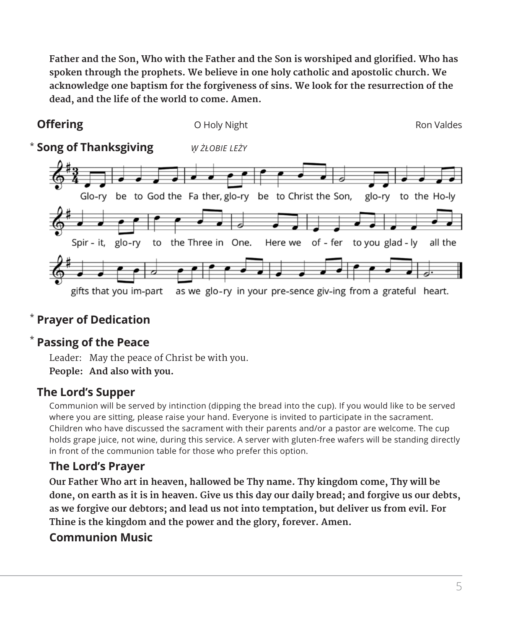**Father and the Son, Who with the Father and the Son is worshiped and glorified. Who has spoken through the prophets. We believe in one holy catholic and apostolic church. We acknowledge one baptism for the forgiveness of sins. We look for the resurrection of the dead, and the life of the world to come. Amen.**



# **Prayer of Dedication** \*

# **Passing of the Peace** \*

Leader: May the peace of Christ be with you. **People: And also with you.**

## **The Lord's Supper**

Communion will be served by intinction (dipping the bread into the cup). If you would like to be served where you are sitting, please raise your hand. Everyone is invited to participate in the sacrament. Children who have discussed the sacrament with their parents and/or a pastor are welcome. The cup holds grape juice, not wine, during this service. A server with gluten-free wafers will be standing directly in front of the communion table for those who prefer this option.

## **The Lord's Prayer**

**Our Father Who art in heaven, hallowed be Thy name. Thy kingdom come, Thy will be done, on earth as it is in heaven. Give us this day our daily bread; and forgive us our debts, as we forgive our debtors; and lead us not into temptation, but deliver us from evil. For Thine is the kingdom and the power and the glory, forever. Amen.**

### **Communion Music**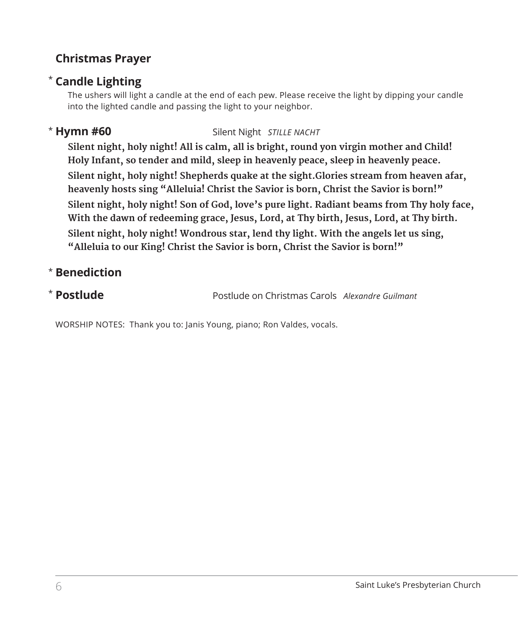## **Christmas Prayer**

## \* **Candle Lighting**

 The ushers will light a candle at the end of each pew. Please receive the light by dipping your candle into the lighted candle and passing the light to your neighbor.

## \* Hymn #60

**Silent Night** *STILLE NACHT* 

 **Silent night, holy night! All is calm, all is bright, round yon virgin mother and Child! Holy Infant, so tender and mild, sleep in heavenly peace, sleep in heavenly peace. Silent night, holy night! Shepherds quake at the sight.Glories stream from heaven afar, heavenly hosts sing "Alleluia! Christ the Savior is born, Christ the Savior is born!" Silent night, holy night! Son of God, love's pure light. Radiant beams from Thy holy face, With the dawn of redeeming grace, Jesus, Lord, at Thy birth, Jesus, Lord, at Thy birth. Silent night, holy night! Wondrous star, lend thy light. With the angels let us sing, "Alleluia to our King! Christ the Savior is born, Christ the Savior is born!"**

## \* **Benediction**

## \* Postlude

**Postlude** Postlude on Christmas Carols *Alexandre Guilmant*

WORSHIP NOTES: Thank you to: Janis Young, piano; Ron Valdes, vocals.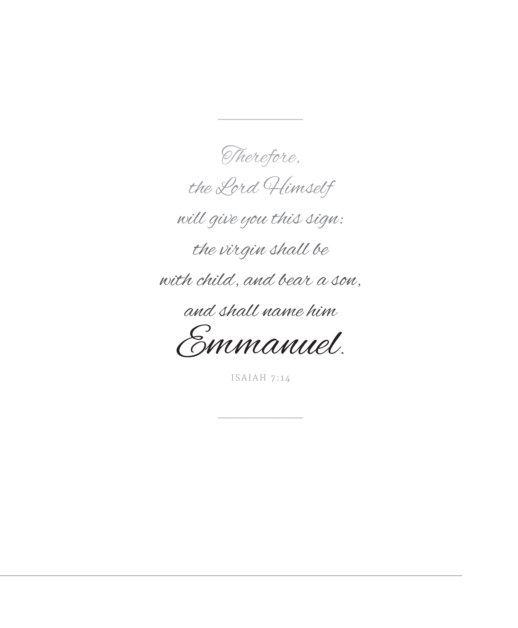Therefore, the Lord Himself will give you this sign: the virgin shall be with child, and bear a son, and shall name him

 $\overline{\phantom{a}}$ 

Emmanuel.

ISAIAH 7:14

 $\overline{\phantom{a}}$